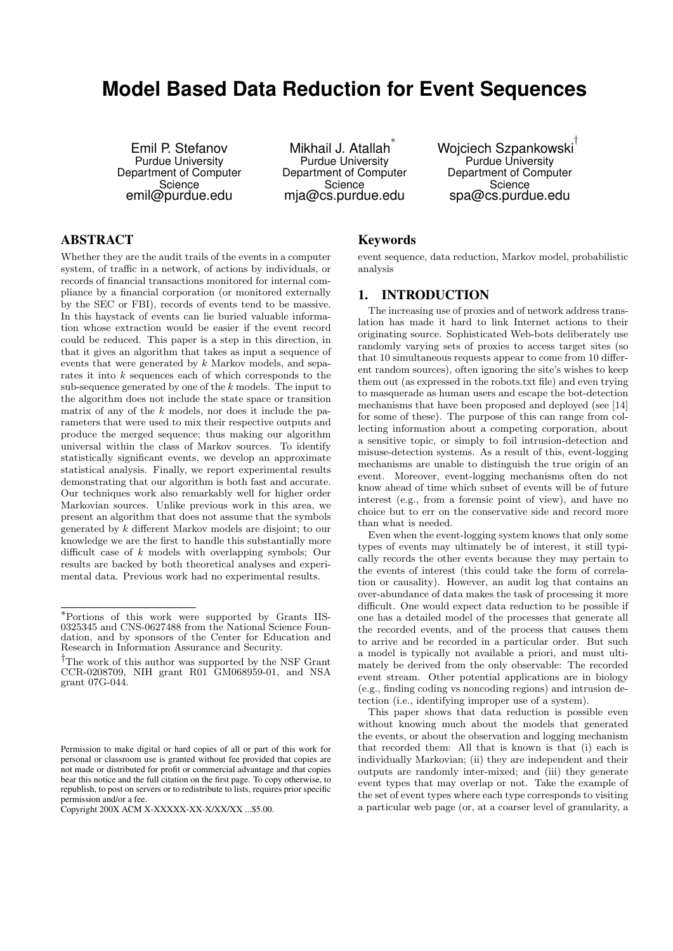# **Model Based Data Reduction for Event Sequences**

Emil P. Stefanov Purdue University Department of Computer **Science** emil@purdue.edu

Mikhail J. Atallah<sup>\*</sup> Purdue University Department of Computer **Science** mja@cs.purdue.edu

Wojciech Szpankowski † Purdue University Department of Computer **Science** spa@cs.purdue.edu

# ABSTRACT

Whether they are the audit trails of the events in a computer system, of traffic in a network, of actions by individuals, or records of financial transactions monitored for internal compliance by a financial corporation (or monitored externally by the SEC or FBI), records of events tend to be massive. In this haystack of events can lie buried valuable information whose extraction would be easier if the event record could be reduced. This paper is a step in this direction, in that it gives an algorithm that takes as input a sequence of events that were generated by k Markov models, and separates it into k sequences each of which corresponds to the sub-sequence generated by one of the k models. The input to the algorithm does not include the state space or transition matrix of any of the  $k$  models, nor does it include the parameters that were used to mix their respective outputs and produce the merged sequence; thus making our algorithm universal within the class of Markov sources. To identify statistically significant events, we develop an approximate statistical analysis. Finally, we report experimental results demonstrating that our algorithm is both fast and accurate. Our techniques work also remarkably well for higher order Markovian sources. Unlike previous work in this area, we present an algorithm that does not assume that the symbols generated by k different Markov models are disjoint; to our knowledge we are the first to handle this substantially more difficult case of k models with overlapping symbols; Our results are backed by both theoretical analyses and experimental data. Previous work had no experimental results.

# Keywords

event sequence, data reduction, Markov model, probabilistic analysis

# 1. INTRODUCTION

The increasing use of proxies and of network address translation has made it hard to link Internet actions to their originating source. Sophisticated Web-bots deliberately use randomly varying sets of proxies to access target sites (so that 10 simultaneous requests appear to come from 10 different random sources), often ignoring the site's wishes to keep them out (as expressed in the robots.txt file) and even trying to masquerade as human users and escape the bot-detection mechanisms that have been proposed and deployed (see [14] for some of these). The purpose of this can range from collecting information about a competing corporation, about a sensitive topic, or simply to foil intrusion-detection and misuse-detection systems. As a result of this, event-logging mechanisms are unable to distinguish the true origin of an event. Moreover, event-logging mechanisms often do not know ahead of time which subset of events will be of future interest (e.g., from a forensic point of view), and have no choice but to err on the conservative side and record more than what is needed.

Even when the event-logging system knows that only some types of events may ultimately be of interest, it still typically records the other events because they may pertain to the events of interest (this could take the form of correlation or causality). However, an audit log that contains an over-abundance of data makes the task of processing it more difficult. One would expect data reduction to be possible if one has a detailed model of the processes that generate all the recorded events, and of the process that causes them to arrive and be recorded in a particular order. But such a model is typically not available a priori, and must ultimately be derived from the only observable: The recorded event stream. Other potential applications are in biology (e.g., finding coding vs noncoding regions) and intrusion detection (i.e., identifying improper use of a system).

This paper shows that data reduction is possible even without knowing much about the models that generated the events, or about the observation and logging mechanism that recorded them: All that is known is that (i) each is individually Markovian; (ii) they are independent and their outputs are randomly inter-mixed; and (iii) they generate event types that may overlap or not. Take the example of the set of event types where each type corresponds to visiting a particular web page (or, at a coarser level of granularity, a

<sup>∗</sup>Portions of this work were supported by Grants IIS-0325345 and CNS-0627488 from the National Science Foundation, and by sponsors of the Center for Education and Research in Information Assurance and Security.

<sup>†</sup>The work of this author was supported by the NSF Grant CCR-0208709, NIH grant R01 GM068959-01, and NSA grant 07G-044.

Permission to make digital or hard copies of all or part of this work for personal or classroom use is granted without fee provided that copies are not made or distributed for profit or commercial advantage and that copies bear this notice and the full citation on the first page. To copy otherwise, to republish, to post on servers or to redistribute to lists, requires prior specific permission and/or a fee.

Copyright 200X ACM X-XXXXX-XX-X/XX/XX ...\$5.00.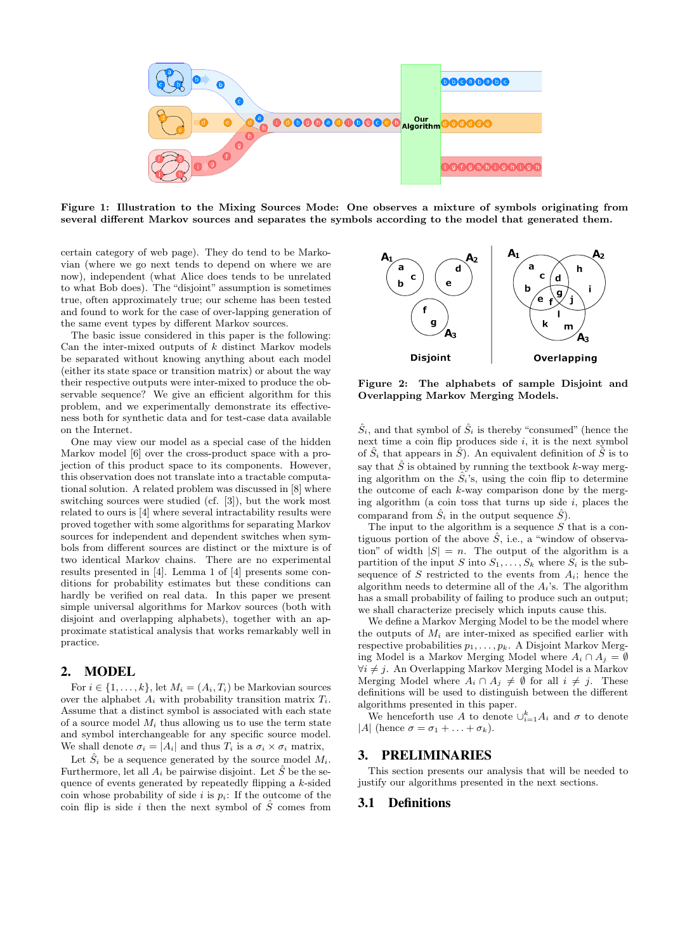

Figure 1: Illustration to the Mixing Sources Mode: One observes a mixture of symbols originating from several different Markov sources and separates the symbols according to the model that generated them.

certain category of web page). They do tend to be Markovian (where we go next tends to depend on where we are now), independent (what Alice does tends to be unrelated to what Bob does). The "disjoint" assumption is sometimes true, often approximately true; our scheme has been tested and found to work for the case of over-lapping generation of the same event types by different Markov sources.

The basic issue considered in this paper is the following: Can the inter-mixed outputs of  $k$  distinct Markov models be separated without knowing anything about each model (either its state space or transition matrix) or about the way their respective outputs were inter-mixed to produce the observable sequence? We give an efficient algorithm for this problem, and we experimentally demonstrate its effectiveness both for synthetic data and for test-case data available on the Internet.

One may view our model as a special case of the hidden Markov model [6] over the cross-product space with a projection of this product space to its components. However, this observation does not translate into a tractable computational solution. A related problem was discussed in [8] where switching sources were studied (cf. [3]), but the work most related to ours is [4] where several intractability results were proved together with some algorithms for separating Markov sources for independent and dependent switches when symbols from different sources are distinct or the mixture is of two identical Markov chains. There are no experimental results presented in [4]. Lemma 1 of [4] presents some conditions for probability estimates but these conditions can hardly be verified on real data. In this paper we present simple universal algorithms for Markov sources (both with disjoint and overlapping alphabets), together with an approximate statistical analysis that works remarkably well in practice.

# 2. MODEL

For  $i \in \{1, \ldots, k\}$ , let  $M_i = (A_i, T_i)$  be Markovian sources over the alphabet  $A_i$  with probability transition matrix  $T_i$ . Assume that a distinct symbol is associated with each state of a source model  $M_i$  thus allowing us to use the term state and symbol interchangeable for any specific source model. We shall denote  $\sigma_i = |A_i|$  and thus  $T_i$  is a  $\sigma_i \times \sigma_i$  matrix,

Let  $\hat{S}_i$  be a sequence generated by the source model  $M_i$ . Furthermore, let all  $A_i$  be pairwise disjoint. Let  $\hat{S}$  be the sequence of events generated by repeatedly flipping a k-sided coin whose probability of side i is  $p_i$ : If the outcome of the coin flip is side i then the next symbol of  $\hat{S}$  comes from



Figure 2: The alphabets of sample Disjoint and Overlapping Markov Merging Models.

 $\hat{S}_i$ , and that symbol of  $\hat{S}_i$  is thereby "consumed" (hence the next time a coin flip produces side  $i$ , it is the next symbol of  $\hat{S}_i$  that appears in  $\hat{S}$ ). An equivalent definition of  $\hat{S}$  is to say that  $\hat{S}$  is obtained by running the textbook k-way merging algorithm on the  $\hat{S}_i$ 's, using the coin flip to determine the outcome of each  $k$ -way comparison done by the merging algorithm (a coin toss that turns up side  $i$ , places the comparand from  $\hat{S}_i$  in the output sequence  $\hat{S}$ ).

The input to the algorithm is a sequence  $S$  that is a contiguous portion of the above  $\hat{S}$ , i.e., a "window of observation" of width  $|S| = n$ . The output of the algorithm is a partition of the input S into  $S_1, \ldots, S_k$  where  $S_i$  is the subsequence of S restricted to the events from  $A_i$ ; hence the algorithm needs to determine all of the  $A_i$ 's. The algorithm has a small probability of failing to produce such an output; we shall characterize precisely which inputs cause this.

We define a Markov Merging Model to be the model where the outputs of  $M_i$  are inter-mixed as specified earlier with respective probabilities  $p_1, \ldots, p_k$ . A Disjoint Markov Merging Model is a Markov Merging Model where  $A_i \cap A_j = \emptyset$  $\forall i \neq j$ . An Overlapping Markov Merging Model is a Markov Merging Model where  $A_i \cap A_j \neq \emptyset$  for all  $i \neq j$ . These definitions will be used to distinguish between the different algorithms presented in this paper.

We henceforth use A to denote  $\cup_{i=1}^k A_i$  and  $\sigma$  to denote |A| (hence  $\sigma = \sigma_1 + \ldots + \sigma_k$ ).

# 3. PRELIMINARIES

This section presents our analysis that will be needed to justify our algorithms presented in the next sections.

### 3.1 Definitions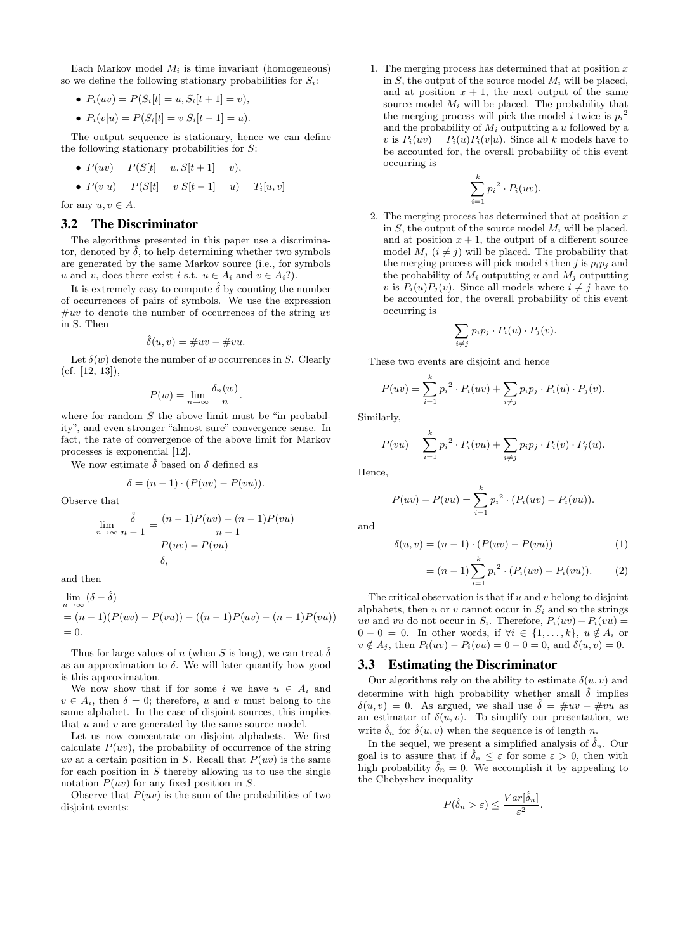Each Markov model  $M_i$  is time invariant (homogeneous) so we define the following stationary probabilities for  $S_i$ :

- $P_i(uv) = P(S_i[t] = u, S_i[t+1] = v),$
- $P_i(v|u) = P(S_i[t] = v|S_i[t-1] = u).$

The output sequence is stationary, hence we can define the following stationary probabilities for S:

•  $P(uv) = P(S[t] = u, S[t+1] = v),$ 

• 
$$
P(v|u) = P(S[t] = v|S[t-1] = u) = T_i[u, v]
$$

for any  $u, v \in A$ .

## 3.2 The Discriminator

The algorithms presented in this paper use a discriminator, denoted by  $\hat{\delta}$ , to help determining whether two symbols are generated by the same Markov source (i.e., for symbols u and v, does there exist i s.t.  $u \in A_i$  and  $v \in A_i$ ?).

It is extremely easy to compute  $\hat{\delta}$  by counting the number of occurrences of pairs of symbols. We use the expression  $\#uv$  to denote the number of occurrences of the string uv in S. Then

$$
\hat{\delta}(u,v) = \#uv - \#vu.
$$

Let  $\delta(w)$  denote the number of w occurrences in S. Clearly (cf. [12, 13]),

$$
P(w) = \lim_{n \to \infty} \frac{\delta_n(w)}{n}.
$$

where for random  $S$  the above limit must be "in probability", and even stronger "almost sure" convergence sense. In fact, the rate of convergence of the above limit for Markov processes is exponential [12].

We now estimate  $\hat{\delta}$  based on  $\delta$  defined as

$$
\delta = (n-1) \cdot (P(uv) - P(vu)).
$$

Observe that

$$
\lim_{n \to \infty} \frac{\hat{\delta}}{n-1} = \frac{(n-1)P(uv) - (n-1)P(vu)}{n-1}
$$

$$
= P(uv) - P(vu)
$$

$$
= \delta,
$$

and then

$$
\lim_{n \to \infty} (\delta - \hat{\delta})
$$
  
=  $(n - 1)(P(uv) - P(vu)) - ((n - 1)P(uv) - (n - 1)P(vu))$   
= 0.

Thus for large values of n (when S is long), we can treat  $\hat{\delta}$ as an approximation to  $\delta$ . We will later quantify how good is this approximation.

We now show that if for some i we have  $u \in A_i$  and  $v \in A_i$ , then  $\delta = 0$ ; therefore, u and v must belong to the same alphabet. In the case of disjoint sources, this implies that  $u$  and  $v$  are generated by the same source model.

Let us now concentrate on disjoint alphabets. We first calculate  $P(uv)$ , the probability of occurrence of the string uv at a certain position in S. Recall that  $P(uv)$  is the same for each position in  $S$  thereby allowing us to use the single notation  $P(uv)$  for any fixed position in S.

Observe that  $P(uv)$  is the sum of the probabilities of two disjoint events:

1. The merging process has determined that at position  $x$ in  $S$ , the output of the source model  $M_i$  will be placed, and at position  $x + 1$ , the next output of the same source model  $M_i$  will be placed. The probability that the merging process will pick the model *i* twice is  $p_i^2$ and the probability of  $M_i$  outputting a u followed by a v is  $P_i(uv) = P_i(u)P_i(v|u)$ . Since all k models have to be accounted for, the overall probability of this event occurring is

$$
\sum_{i=1}^k p_i^2 \cdot P_i(uv).
$$

2. The merging process has determined that at position  $x$ in  $S$ , the output of the source model  $M_i$  will be placed, and at position  $x + 1$ , the output of a different source model  $M_j$   $(i \neq j)$  will be placed. The probability that the merging process will pick model i then j is  $p_i p_j$  and the probability of  $M_i$  outputting u and  $M_j$  outputting v is  $P_i(u)P_j(v)$ . Since all models where  $i \neq j$  have to be accounted for, the overall probability of this event occurring is

$$
\sum_{i \neq j} p_i p_j \cdot P_i(u) \cdot P_j(v).
$$

These two events are disjoint and hence

$$
P(uv) = \sum_{i=1}^{k} p_i^{2} \cdot P_i(uv) + \sum_{i \neq j} p_i p_j \cdot P_i(u) \cdot P_j(v).
$$

Similarly,

$$
P(vu) = \sum_{i=1}^{k} p_i^{2} \cdot P_i(vu) + \sum_{i \neq j} p_i p_j \cdot P_i(v) \cdot P_j(u).
$$

Hence,

$$
P(uv) - P(vu) = \sum_{i=1}^{k} p_i^{2} \cdot (P_i(uv) - P_i(vu)).
$$

and

$$
\delta(u, v) = (n - 1) \cdot (P(uv) - P(vu))
$$
\n
$$
= (n - 1) \sum_{i=1}^{k} p_i^2 \cdot (P_i(uv) - P_i(vu)).
$$
\n(1)

$$
= (n-1) \sum_{i=1} p_i^2 \cdot (P_i(uv) - P_i(vu)). \tag{2}
$$

The critical observation is that if  $u$  and  $v$  belong to disjoint alphabets, then u or v cannot occur in  $S_i$  and so the strings uv and vu do not occur in  $S_i$ . Therefore,  $P_i(uv) - P_i(vu) =$  $0 - 0 = 0$ . In other words, if  $\forall i \in \{1, ..., k\}, u \notin A_i$  or  $v \notin A_j$ , then  $P_i(uv) - P_i(vu) = 0 - 0 = 0$ , and  $\delta(u, v) = 0$ .

#### 3.3 Estimating the Discriminator

Our algorithms rely on the ability to estimate  $\delta(u, v)$  and determine with high probability whether small  $\delta$  implies  $\delta(u, v) = 0$ . As argued, we shall use  $\hat{\delta} = \text{mu}v - \text{mu}$  as an estimator of  $\delta(u, v)$ . To simplify our presentation, we write  $\delta_n$  for  $\delta(u, v)$  when the sequence is of length n.

In the sequel, we present a simplified analysis of  $\hat{\delta}_n$ . Our goal is to assure that if  $\hat{\delta}_n \leq \varepsilon$  for some  $\varepsilon > 0$ , then with high probability  $\hat{\delta}_n = 0$ . We accomplish it by appealing to the Chebyshev inequality

$$
P(\hat{\delta}_n > \varepsilon) \le \frac{Var[\hat{\delta}_n]}{\varepsilon^2}.
$$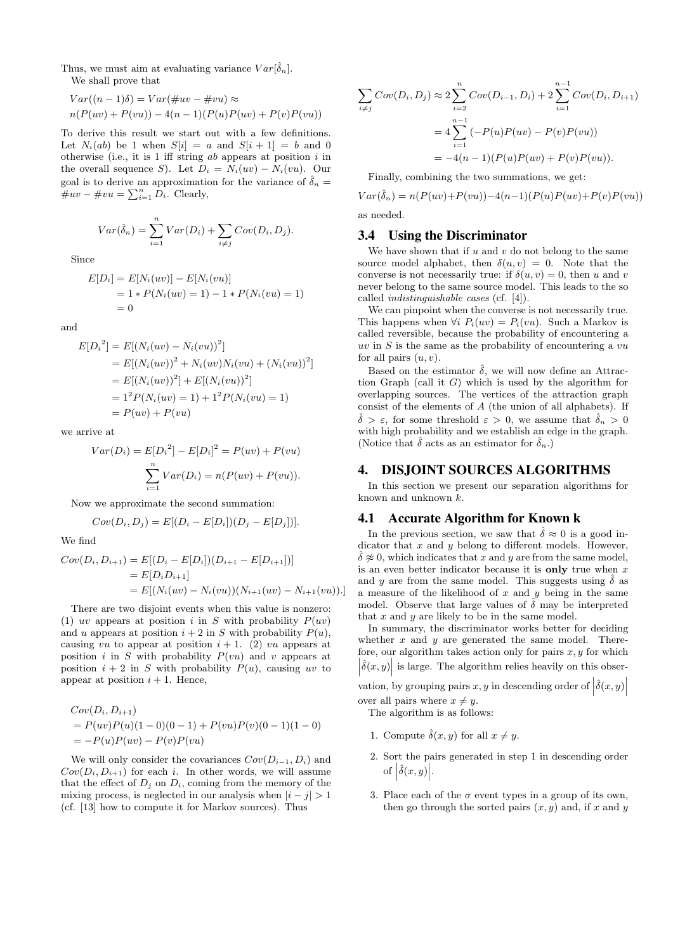Thus, we must aim at evaluating variance  $Var[\hat{\delta}_n]$ . We shall prove that

$$
Var((n-1)\delta) = Var(\#uv - \#vu) \approx
$$
  

$$
n(P(uv) + P(vu)) - 4(n-1)(P(u)P(uv) + P(v)P(vu))
$$

To derive this result we start out with a few definitions. Let  $N_i(ab)$  be 1 when  $S[i] = a$  and  $S[i+1] = b$  and 0 otherwise (i.e., it is  $1$  iff string  $ab$  appears at position  $i$  in the overall sequence S). Let  $D_i = N_i(uv) - N_i(vu)$ . Our goal is to derive an approximation for the variance of  $\hat{\delta}_n =$  $\overline{\#uv} - \overline{\#vu} = \sum_{i=1}^n \overline{D_i}$ . Clearly,

$$
Var(\hat{\delta}_n) = \sum_{i=1}^n Var(D_i) + \sum_{i \neq j} Cov(D_i, D_j).
$$

Since

$$
E[D_i] = E[N_i(uv)] - E[N_i(vu)]
$$
  
= 1 \* P(N<sub>i</sub>(uv) = 1) - 1 \* P(N<sub>i</sub>(vu) = 1)  
= 0

and

$$
E[D_i^2] = E[(N_i(uv) - N_i(vu))^2]
$$
  
=  $E[(N_i(uv))^2 + N_i(uv)N_i(vu) + (N_i(vu))^2]$   
=  $E[(N_i(uv))^2] + E[(N_i(vu))^2]$   
=  $1^2 P(N_i(uv) = 1) + 1^2 P(N_i(vu) = 1)$   
=  $P(uv) + P(vu)$ 

we arrive at

$$
Var(D_i) = E[D_i^2] - E[D_i]^2 = P(uv) + P(vu)
$$

$$
\sum_{i=1}^n Var(D_i) = n(P(uv) + P(vu)).
$$

Now we approximate the second summation:

$$
Cov(D_i, D_j) = E[(D_i - E[D_i])(D_j - E[D_j])].
$$

We find

$$
Cov(D_i, D_{i+1}) = E[(D_i - E[D_i])(D_{i+1} - E[D_{i+1}])]
$$
  
=  $E[D_i D_{i+1}]$   
=  $E[(N_i(uv) - N_i(vu))(N_{i+1}(uv) - N_{i+1}(vu))]$ .

There are two disjoint events when this value is nonzero: (1) uv appears at position i in S with probability  $P(uv)$ and u appears at position  $i + 2$  in S with probability  $P(u)$ , causing vu to appear at position  $i + 1$ . (2) vu appears at position i in S with probability  $P(vu)$  and v appears at position  $i + 2$  in S with probability  $P(u)$ , causing uv to appear at position  $i + 1$ . Hence,

$$
Cov(D_i, D_{i+1})
$$
  
=  $P(uv)P(u)(1-0)(0-1) + P(vu)P(v)(0-1)(1-0)$   
=  $-P(u)P(uv) - P(v)P(vu)$ 

We will only consider the covariances  $Cov(D_{i-1}, D_i)$  and  $Cov(D_i, D_{i+1})$  for each i. In other words, we will assume that the effect of  $D_i$  on  $D_i$ , coming from the memory of the mixing process, is neglected in our analysis when  $|i - j| > 1$ (cf. [13] how to compute it for Markov sources). Thus

$$
\sum_{i \neq j} Cov(D_i, D_j) \approx 2 \sum_{i=2}^n Cov(D_{i-1}, D_i) + 2 \sum_{i=1}^{n-1} Cov(D_i, D_{i+1})
$$
  
=  $4 \sum_{i=1}^{n-1} (-P(u)P(uv) - P(v)P(vu))$   
=  $-4(n-1)(P(u)P(uv) + P(v)P(vu)).$ 

Finally, combining the two summations, we get:

 $Var(\hat{\delta}_n) = n(P(uv) + P(vu)) - 4(n-1)(P(u)P(uv) + P(v)P(vu))$ as needed.

# 3.4 Using the Discriminator

We have shown that if  $u$  and  $v$  do not belong to the same source model alphabet, then  $\delta(u, v) = 0$ . Note that the converse is not necessarily true: if  $\delta(u, v) = 0$ , then u and v never belong to the same source model. This leads to the so called indistinguishable cases (cf. [4]).

We can pinpoint when the converse is not necessarily true. This happens when  $\forall i \ P_i(uv) = P_i(vu)$ . Such a Markov is called reversible, because the probability of encountering a  $uv$  in S is the same as the probability of encountering a  $vu$ for all pairs  $(u, v)$ .

Based on the estimator  $\hat{\delta}$ , we will now define an Attraction Graph (call it G) which is used by the algorithm for overlapping sources. The vertices of the attraction graph consist of the elements of A (the union of all alphabets). If  $\delta > \varepsilon$ , for some threshold  $\varepsilon > 0$ , we assume that  $\delta_n > 0$ with high probability and we establish an edge in the graph. (Notice that  $\hat{\delta}$  acts as an estimator for  $\hat{\delta}_n$ .)

# 4. DISJOINT SOURCES ALGORITHMS

In this section we present our separation algorithms for known and unknown k.

#### 4.1 Accurate Algorithm for Known k

In the previous section, we saw that  $\hat{\delta} \approx 0$  is a good indicator that  $x$  and  $y$  belong to different models. However,  $\hat{\delta} \not\approx 0$ , which indicates that x and y are from the same model, is an even better indicator because it is only true when  $x$ and y are from the same model. This suggests using  $\hat{\delta}$  as a measure of the likelihood of  $x$  and  $y$  being in the same model. Observe that large values of  $\hat{\delta}$  may be interpreted that  $x$  and  $y$  are likely to be in the same model.

In summary, the discriminator works better for deciding whether  $x$  and  $y$  are generated the same model. Therefore, our algorithm takes action only for pairs  $x, y$  for which  $\left|\hat{\delta}(x,y)\right|$  is large. The algorithm relies heavily on this obser-

vation, by grouping pairs  $x, y$  in descending order of  $\left|\hat{\delta}(x, y)\right|$ over all pairs where  $x \neq y$ .

The algorithm is as follows:

- 1. Compute  $\hat{\delta}(x, y)$  for all  $x \neq y$ .
- 2. Sort the pairs generated in step 1 in descending order of  $\left|\hat{\delta}(x,y)\right|$ .
- 3. Place each of the  $\sigma$  event types in a group of its own, then go through the sorted pairs  $(x, y)$  and, if x and y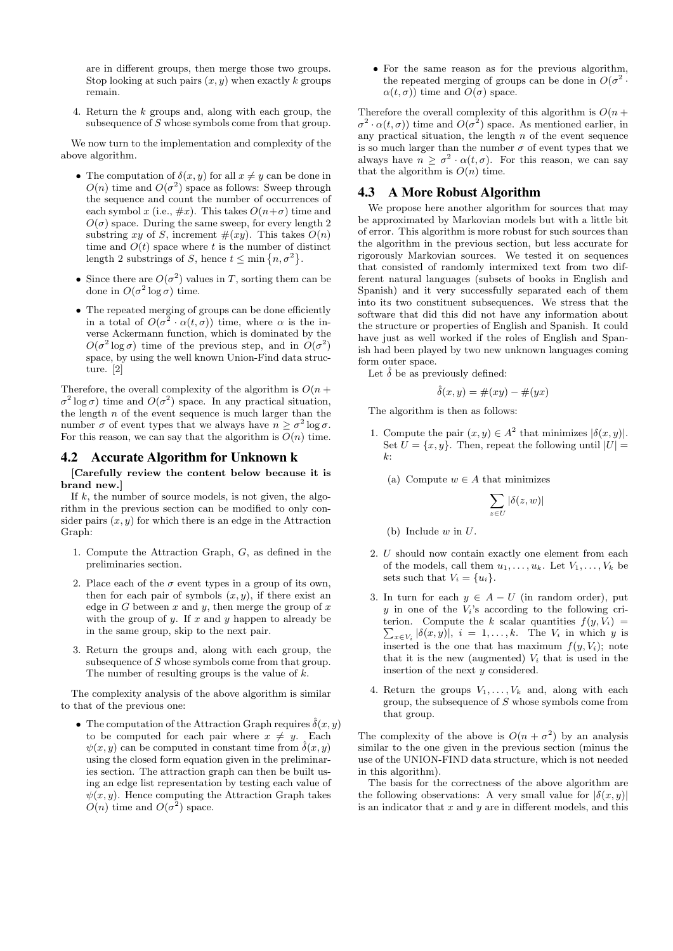are in different groups, then merge those two groups. Stop looking at such pairs  $(x, y)$  when exactly k groups remain.

4. Return the k groups and, along with each group, the subsequence of S whose symbols come from that group.

We now turn to the implementation and complexity of the above algorithm.

- The computation of  $\delta(x, y)$  for all  $x \neq y$  can be done in  $O(n)$  time and  $O(\sigma^2)$  space as follows: Sweep through the sequence and count the number of occurrences of each symbol x (i.e.,  $\#x$ ). This takes  $O(n+\sigma)$  time and  $O(\sigma)$  space. During the same sweep, for every length 2 substring xy of S, increment  $\#(xy)$ . This takes  $O(n)$ time and  $O(t)$  space where t is the number of distinct length 2 substrings of S, hence  $t \leq \min\{n, \sigma^2\}.$
- Since there are  $O(\sigma^2)$  values in T, sorting them can be done in  $O(\sigma^2 \log \sigma)$  time.
- The repeated merging of groups can be done efficiently in a total of  $O(\sigma^2 \cdot \alpha(t,\sigma))$  time, where  $\alpha$  is the inverse Ackermann function, which is dominated by the  $O(\sigma^2 \log \sigma)$  time of the previous step, and in  $O(\sigma^2)$ space, by using the well known Union-Find data structure. [2]

Therefore, the overall complexity of the algorithm is  $O(n +$  $\sigma^2$  log  $\sigma$ ) time and  $O(\sigma^2)$  space. In any practical situation, the length  $n$  of the event sequence is much larger than the number  $\sigma$  of event types that we always have  $n \geq \sigma^2 \log \sigma$ . For this reason, we can say that the algorithm is  $O(n)$  time.

# 4.2 Accurate Algorithm for Unknown k

[Carefully review the content below because it is brand new.]

If  $k$ , the number of source models, is not given, the algorithm in the previous section can be modified to only consider pairs  $(x, y)$  for which there is an edge in the Attraction Graph:

- 1. Compute the Attraction Graph, G, as defined in the preliminaries section.
- 2. Place each of the  $\sigma$  event types in a group of its own, then for each pair of symbols  $(x, y)$ , if there exist an edge in G between x and y, then merge the group of  $x$ with the group of  $y$ . If  $x$  and  $y$  happen to already be in the same group, skip to the next pair.
- 3. Return the groups and, along with each group, the subsequence of S whose symbols come from that group. The number of resulting groups is the value of  $k$ .

The complexity analysis of the above algorithm is similar to that of the previous one:

• The computation of the Attraction Graph requires  $\hat{\delta}(x, y)$ to be computed for each pair where  $x \neq y$ . Each  $\psi(x, y)$  can be computed in constant time from  $\hat{\delta}(x, y)$ using the closed form equation given in the preliminaries section. The attraction graph can then be built using an edge list representation by testing each value of  $\psi(x, y)$ . Hence computing the Attraction Graph takes  $O(n)$  time and  $O(\sigma^2)$  space.

• For the same reason as for the previous algorithm, the repeated merging of groups can be done in  $O(\sigma^2$ .  $\alpha(t, \sigma)$ ) time and  $O(\sigma)$  space.

Therefore the overall complexity of this algorithm is  $O(n + \frac{1}{2})$  $\sigma^2 \cdot \alpha(t,\sigma)$  time and  $O(\sigma^2)$  space. As mentioned earlier, in any practical situation, the length  $n$  of the event sequence is so much larger than the number  $\sigma$  of event types that we always have  $n \geq \sigma^2 \cdot \alpha(t, \sigma)$ . For this reason, we can say that the algorithm is  $O(n)$  time.

# 4.3 A More Robust Algorithm

We propose here another algorithm for sources that may be approximated by Markovian models but with a little bit of error. This algorithm is more robust for such sources than the algorithm in the previous section, but less accurate for rigorously Markovian sources. We tested it on sequences that consisted of randomly intermixed text from two different natural languages (subsets of books in English and Spanish) and it very successfully separated each of them into its two constituent subsequences. We stress that the software that did this did not have any information about the structure or properties of English and Spanish. It could have just as well worked if the roles of English and Spanish had been played by two new unknown languages coming form outer space.

Let  $\hat{\delta}$  be as previously defined:

$$
\hat{\delta}(x, y) = \#(xy) - \#(yx)
$$

The algorithm is then as follows:

- 1. Compute the pair  $(x, y) \in A^2$  that minimizes  $|\delta(x, y)|$ . Set  $U = \{x, y\}$ . Then, repeat the following until  $|U|$  $k$ .
	- (a) Compute  $w \in A$  that minimizes

$$
\sum_{z \in U} |\delta(z, w)|
$$

(b) Include  $w$  in  $U$ .

- 2. U should now contain exactly one element from each of the models, call them  $u_1, \ldots, u_k$ . Let  $V_1, \ldots, V_k$  be sets such that  $V_i = \{u_i\}.$
- 3. In turn for each  $y \in A U$  (in random order), put  $y$  in one of the  $V_i$ 's according to the following cri- $\sum_{x \in V_i} |\delta(x, y)|$ ,  $i = 1, ..., k$ . The  $V_i$  in which y is terion. Compute the k scalar quantities  $f(y, V_i)$  = inserted is the one that has maximum  $f(y, V_i)$ ; note that it is the new (augmented)  $V_i$  that is used in the insertion of the next y considered.
- 4. Return the groups  $V_1, \ldots, V_k$  and, along with each group, the subsequence of S whose symbols come from that group.

The complexity of the above is  $O(n + \sigma^2)$  by an analysis similar to the one given in the previous section (minus the use of the UNION-FIND data structure, which is not needed in this algorithm).

The basis for the correctness of the above algorithm are the following observations: A very small value for  $|\delta(x, y)|$ is an indicator that  $x$  and  $y$  are in different models, and this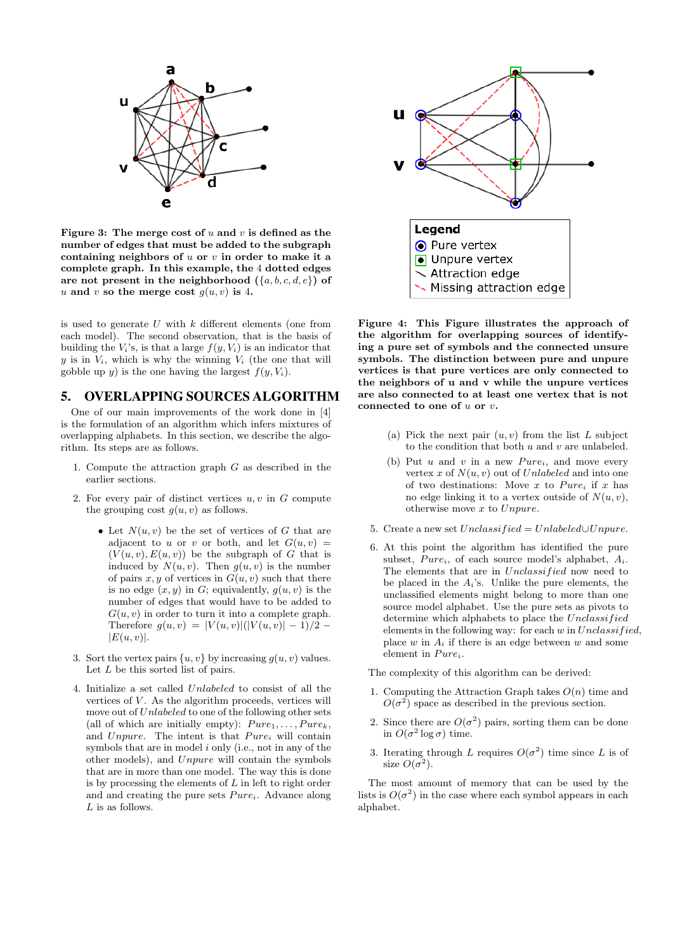

Figure 3: The merge cost of  $u$  and  $v$  is defined as the number of edges that must be added to the subgraph containing neighbors of  $u$  or  $v$  in order to make it a complete graph. In this example, the 4 dotted edges are not present in the neighborhood  $({a, b, c, d, e})$  of u and v so the merge cost  $g(u, v)$  is 4.

is used to generate  $U$  with  $k$  different elements (one from each model). The second observation, that is the basis of building the  $V_i$ 's, is that a large  $f(y, V_i)$  is an indicator that y is in  $V_i$ , which is why the winning  $V_i$  (the one that will gobble up y) is the one having the largest  $f(y, V_i)$ .

# 5. OVERLAPPING SOURCES ALGORITHM

One of our main improvements of the work done in [4] is the formulation of an algorithm which infers mixtures of overlapping alphabets. In this section, we describe the algorithm. Its steps are as follows.

- 1. Compute the attraction graph  $G$  as described in the earlier sections.
- 2. For every pair of distinct vertices  $u, v$  in  $G$  compute the grouping cost  $q(u, v)$  as follows.
	- Let  $N(u, v)$  be the set of vertices of G that are adjacent to u or v or both, and let  $G(u, v)$  =  $(V(u, v), E(u, v))$  be the subgraph of G that is induced by  $N(u, v)$ . Then  $g(u, v)$  is the number of pairs  $x, y$  of vertices in  $G(u, v)$  such that there is no edge  $(x, y)$  in G; equivalently,  $g(u, v)$  is the number of edges that would have to be added to  $G(u, v)$  in order to turn it into a complete graph. Therefore  $q(u, v) = |V(u, v)|(|V(u, v)| - 1)/2$  –  $|E(u, v)|$ .
- 3. Sort the vertex pairs  $\{u, v\}$  by increasing  $g(u, v)$  values. Let L be this sorted list of pairs.
- 4. Initialize a set called Unlabeled to consist of all the vertices of  $V$ . As the algorithm proceeds, vertices will move out of Unlabeled to one of the following other sets (all of which are initially empty):  $Pure_1, \ldots, Pure_k$ , and Unpure. The intent is that  $Pure_i$  will contain symbols that are in model  $i$  only (i.e., not in any of the other models), and Unpure will contain the symbols that are in more than one model. The way this is done is by processing the elements of  $L$  in left to right order and and creating the pure sets  $Pure_i$ . Advance along  $L$  is as follows.



Figure 4: This Figure illustrates the approach of the algorithm for overlapping sources of identifying a pure set of symbols and the connected unsure symbols. The distinction between pure and unpure vertices is that pure vertices are only connected to the neighbors of u and v while the unpure vertices are also connected to at least one vertex that is not connected to one of  $u$  or  $v$ .

- (a) Pick the next pair  $(u, v)$  from the list L subject to the condition that both  $u$  and  $v$  are unlabeled.
- (b) Put  $u$  and  $v$  in a new  $Pure_i$ , and move every vertex x of  $N(u, v)$  out of Unlabeled and into one of two destinations: Move x to  $Pure_i$  if x has no edge linking it to a vertex outside of  $N(u, v)$ , otherwise move x to Unpure.
- 5. Create a new set  $Unclassified = Unlabeled \cup Unpure$ .
- 6. At this point the algorithm has identified the pure subset,  $Pure_i$ , of each source model's alphabet,  $A_i$ . The elements that are in *Unclassified* now need to be placed in the  $A_i$ 's. Unlike the pure elements, the unclassified elements might belong to more than one source model alphabet. Use the pure sets as pivots to determine which alphabets to place the Unclassified elements in the following way: for each  $w$  in  $Unclassified$ , place  $w$  in  $A_i$  if there is an edge between  $w$  and some element in  $Pure_i$ .

The complexity of this algorithm can be derived:

- 1. Computing the Attraction Graph takes  $O(n)$  time and  $O(\sigma^2)$  space as described in the previous section.
- 2. Since there are  $O(\sigma^2)$  pairs, sorting them can be done in  $O(\sigma^2 \log \sigma)$  time.
- 3. Iterating through L requires  $O(\sigma^2)$  time since L is of size  $O(\sigma^2)$ .

The most amount of memory that can be used by the lists is  $O(\sigma^2)$  in the case where each symbol appears in each alphabet.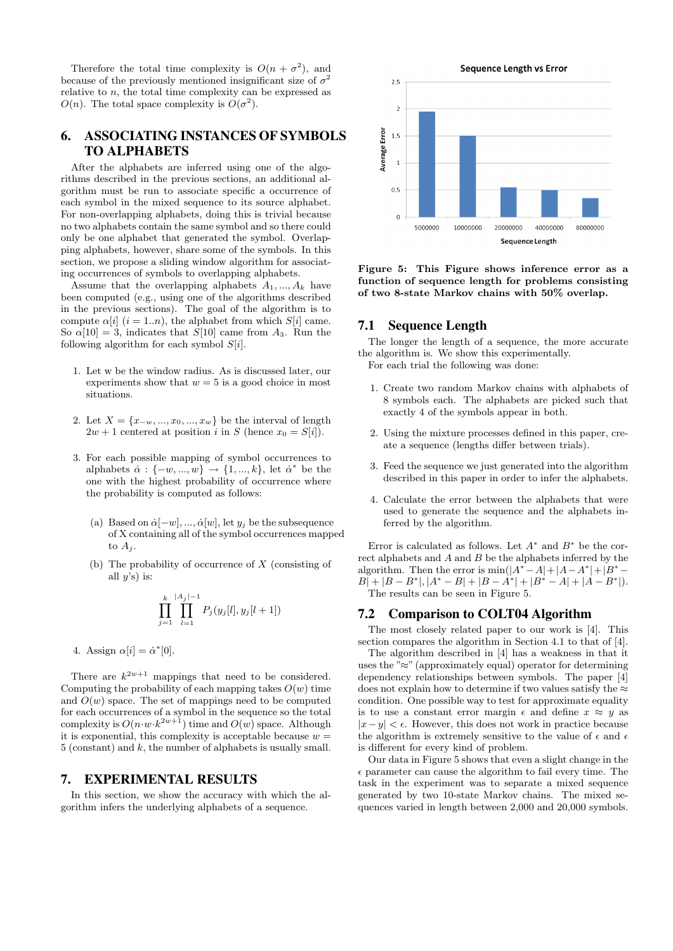Therefore the total time complexity is  $O(n + \sigma^2)$ , and because of the previously mentioned insignificant size of  $\sigma^2$ relative to  $n$ , the total time complexity can be expressed as  $O(n)$ . The total space complexity is  $O(\sigma^2)$ .

# 6. ASSOCIATING INSTANCES OF SYMBOLS TO ALPHABETS

After the alphabets are inferred using one of the algorithms described in the previous sections, an additional algorithm must be run to associate specific a occurrence of each symbol in the mixed sequence to its source alphabet. For non-overlapping alphabets, doing this is trivial because no two alphabets contain the same symbol and so there could only be one alphabet that generated the symbol. Overlapping alphabets, however, share some of the symbols. In this section, we propose a sliding window algorithm for associating occurrences of symbols to overlapping alphabets.

Assume that the overlapping alphabets  $A_1, ..., A_k$  have been computed (e.g., using one of the algorithms described in the previous sections). The goal of the algorithm is to compute  $\alpha[i]$   $(i = 1..n)$ , the alphabet from which  $S[i]$  came. So  $\alpha[10] = 3$ , indicates that S[10] came from A<sub>3</sub>. Run the following algorithm for each symbol  $S[i]$ .

- 1. Let w be the window radius. As is discussed later, our experiments show that  $w = 5$  is a good choice in most situations.
- 2. Let  $X = \{x_{-w}, ..., x_0, ..., x_w\}$  be the interval of length  $2w + 1$  centered at position i in S (hence  $x_0 = S[i]$ ).
- 3. For each possible mapping of symbol occurrences to alphabets  $\alpha : \{-w, ..., w\} \rightarrow \{1, ..., k\}$ , let  $\alpha^*$  be the one with the highest probability of occurrence where the probability is computed as follows:
	- (a) Based on  $\dot{\alpha}$ [-w], ...,  $\dot{\alpha}[w]$ , let  $y_i$  be the subsequence of X containing all of the symbol occurrences mapped to  $A_j$ .
	- (b) The probability of occurrence of  $X$  (consisting of all  $u$ 's) is:

$$
\prod_{j=1}^k \prod_{l=1}^{|A_j|-1} P_j(y_j[l], y_j[l+1])
$$

4. Assign  $\alpha[i] = \dot{\alpha}^*[0]$ .

There are  $k^{2w+1}$  mappings that need to be considered. Computing the probability of each mapping takes  $O(w)$  time and  $O(w)$  space. The set of mappings need to be computed for each occurrences of a symbol in the sequence so the total complexity is  $O(n \cdot w \cdot k^{2w+1})$  time and  $O(w)$  space. Although it is exponential, this complexity is acceptable because  $w =$ 5 (constant) and k, the number of alphabets is usually small.

### 7. EXPERIMENTAL RESULTS

In this section, we show the accuracy with which the algorithm infers the underlying alphabets of a sequence.



Figure 5: This Figure shows inference error as a function of sequence length for problems consisting of two 8-state Markov chains with 50% overlap.

# 7.1 Sequence Length

The longer the length of a sequence, the more accurate the algorithm is. We show this experimentally. For each trial the following was done:

- 1. Create two random Markov chains with alphabets of 8 symbols each. The alphabets are picked such that exactly 4 of the symbols appear in both.
- 2. Using the mixture processes defined in this paper, create a sequence (lengths differ between trials).
- 3. Feed the sequence we just generated into the algorithm described in this paper in order to infer the alphabets.
- 4. Calculate the error between the alphabets that were used to generate the sequence and the alphabets inferred by the algorithm.

Error is calculated as follows. Let  $A^*$  and  $B^*$  be the correct alphabets and A and B be the alphabets inferred by the algorithm. Then the error is  $\min(|A^* - A| + |A - A^*| + |B^* - A|)$  $B|+|B-B^*|, |A^*-B|+|B-A^*|+|B^*-A|+|A-B^*|).$ The results can be seen in Figure 5.

# 7.2 Comparison to COLT04 Algorithm

The most closely related paper to our work is [4]. This section compares the algorithm in Section 4.1 to that of [4].

The algorithm described in [4] has a weakness in that it uses the " $\approx$ " (approximately equal) operator for determining dependency relationships between symbols. The paper [4] does not explain how to determine if two values satisfy the  $\approx$ condition. One possible way to test for approximate equality is to use a constant error margin  $\epsilon$  and define  $x \approx y$  as  $|x-y| < \epsilon$ . However, this does not work in practice because the algorithm is extremely sensitive to the value of  $\epsilon$  and  $\epsilon$ is different for every kind of problem.

Our data in Figure 5 shows that even a slight change in the  $\epsilon$  parameter can cause the algorithm to fail every time. The task in the experiment was to separate a mixed sequence generated by two 10-state Markov chains. The mixed sequences varied in length between 2,000 and 20,000 symbols.